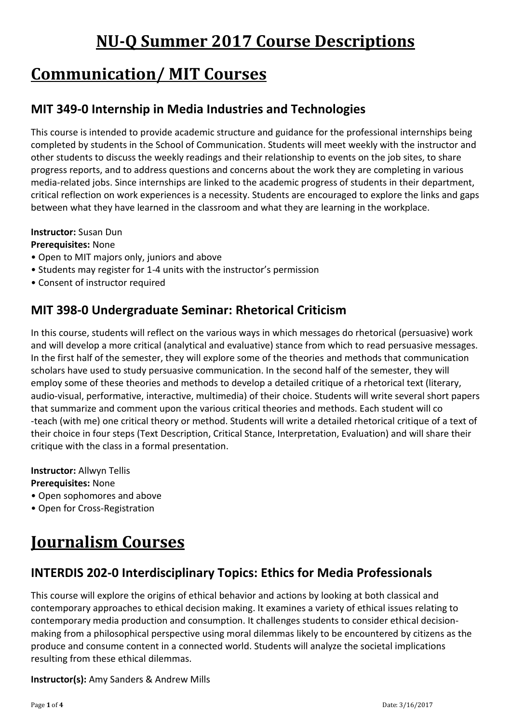# **NU-Q Summer 2017 Course Descriptions**

# **Communication/ MIT Courses**

### **MIT 349-0 Internship in Media Industries and Technologies**

This course is intended to provide academic structure and guidance for the professional internships being completed by students in the School of Communication. Students will meet weekly with the instructor and other students to discuss the weekly readings and their relationship to events on the job sites, to share progress reports, and to address questions and concerns about the work they are completing in various media-related jobs. Since internships are linked to the academic progress of students in their department, critical reflection on work experiences is a necessity. Students are encouraged to explore the links and gaps between what they have learned in the classroom and what they are learning in the workplace.

#### **Instructor:** Susan Dun

#### **Prerequisites:** None

- Open to MIT majors only, juniors and above
- Students may register for 1-4 units with the instructor's permission
- Consent of instructor required

### **MIT 398-0 Undergraduate Seminar: Rhetorical Criticism**

In this course, students will reflect on the various ways in which messages do rhetorical (persuasive) work and will develop a more critical (analytical and evaluative) stance from which to read persuasive messages. In the first half of the semester, they will explore some of the theories and methods that communication scholars have used to study persuasive communication. In the second half of the semester, they will employ some of these theories and methods to develop a detailed critique of a rhetorical text (literary, audio-visual, performative, interactive, multimedia) of their choice. Students will write several short papers that summarize and comment upon the various critical theories and methods. Each student will co -teach (with me) one critical theory or method. Students will write a detailed rhetorical critique of a text of their choice in four steps (Text Description, Critical Stance, Interpretation, Evaluation) and will share their critique with the class in a formal presentation.

**Instructor:** Allwyn Tellis **Prerequisites:** None

- Open sophomores and above
- Open for Cross-Registration

# **Journalism Courses**

### **INTERDIS 202-0 Interdisciplinary Topics: Ethics for Media Professionals**

This course will explore the origins of ethical behavior and actions by looking at both classical and contemporary approaches to ethical decision making. It examines a variety of ethical issues relating to contemporary media production and consumption. It challenges students to consider ethical decisionmaking from a philosophical perspective using moral dilemmas likely to be encountered by citizens as the produce and consume content in a connected world. Students will analyze the societal implications resulting from these ethical dilemmas.

#### **Instructor(s):** Amy Sanders & Andrew Mills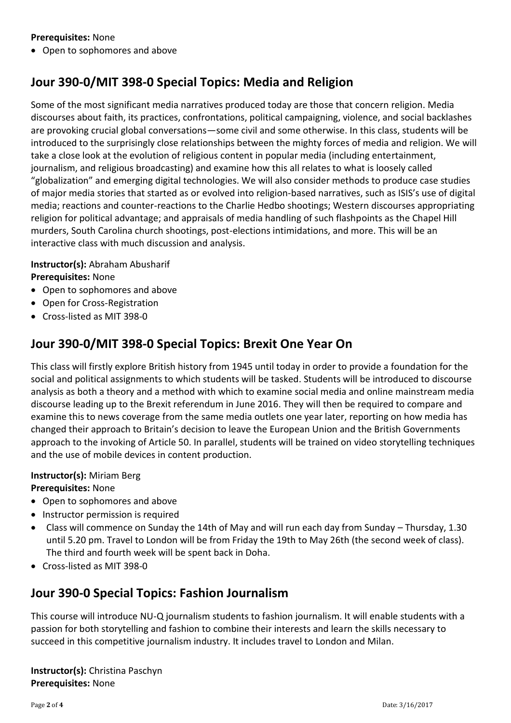#### **Prerequisites:** None

• Open to sophomores and above

### **Jour 390-0/MIT 398-0 Special Topics: Media and Religion**

Some of the most significant media narratives produced today are those that concern religion. Media discourses about faith, its practices, confrontations, political campaigning, violence, and social backlashes are provoking crucial global conversations—some civil and some otherwise. In this class, students will be introduced to the surprisingly close relationships between the mighty forces of media and religion. We will take a close look at the evolution of religious content in popular media (including entertainment, journalism, and religious broadcasting) and examine how this all relates to what is loosely called "globalization" and emerging digital technologies. We will also consider methods to produce case studies of major media stories that started as or evolved into religion-based narratives, such as ISIS's use of digital media; reactions and counter-reactions to the Charlie Hedbo shootings; Western discourses appropriating religion for political advantage; and appraisals of media handling of such flashpoints as the Chapel Hill murders, South Carolina church shootings, post-elections intimidations, and more. This will be an interactive class with much discussion and analysis.

#### **Instructor(s):** Abraham Abusharif **Prerequisites:** None

- Open to sophomores and above
- Open for Cross-Registration
- Cross-listed as MIT 398-0

### **Jour 390-0/MIT 398-0 Special Topics: Brexit One Year On**

This class will firstly explore British history from 1945 until today in order to provide a foundation for the social and political assignments to which students will be tasked. Students will be introduced to discourse analysis as both a theory and a method with which to examine social media and online mainstream media discourse leading up to the Brexit referendum in June 2016. They will then be required to compare and examine this to news coverage from the same media outlets one year later, reporting on how media has changed their approach to Britain's decision to leave the European Union and the British Governments approach to the invoking of Article 50. In parallel, students will be trained on video storytelling techniques and the use of mobile devices in content production.

#### **Instructor(s):** Miriam Berg

#### **Prerequisites:** None

- Open to sophomores and above
- Instructor permission is required
- Class will commence on Sunday the 14th of May and will run each day from Sunday Thursday, 1.30 until 5.20 pm. Travel to London will be from Friday the 19th to May 26th (the second week of class). The third and fourth week will be spent back in Doha.
- Cross-listed as MIT 398-0

#### **Jour 390-0 Special Topics: Fashion Journalism**

This course will introduce NU-Q journalism students to fashion journalism. It will enable students with a passion for both storytelling and fashion to combine their interests and learn the skills necessary to succeed in this competitive journalism industry. It includes travel to London and Milan.

**Instructor(s):** Christina Paschyn **Prerequisites:** None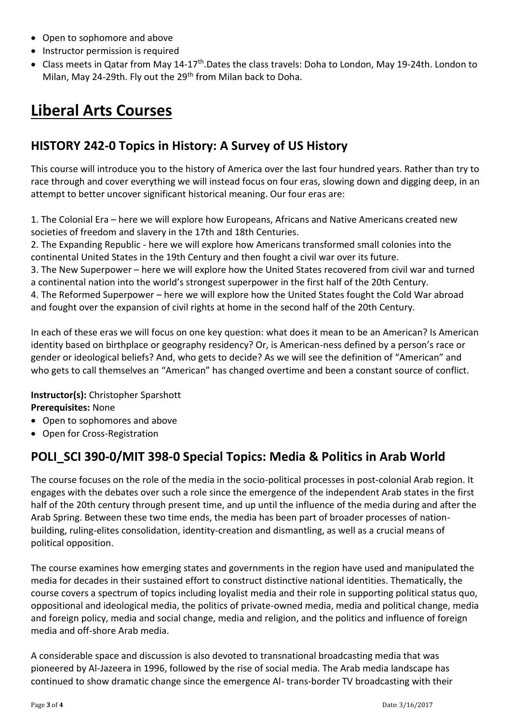- Open to sophomore and above
- Instructor permission is required
- Class meets in Qatar from May 14-17<sup>th</sup>.Dates the class travels: Doha to London, May 19-24th. London to Milan, May 24-29th. Fly out the 29<sup>th</sup> from Milan back to Doha.

# **Liberal Arts Courses**

### **HISTORY 242-0 Topics in History: A Survey of US History**

This course will introduce you to the history of America over the last four hundred years. Rather than try to race through and cover everything we will instead focus on four eras, slowing down and digging deep, in an attempt to better uncover significant historical meaning. Our four eras are:

1. The Colonial Era – here we will explore how Europeans, Africans and Native Americans created new societies of freedom and slavery in the 17th and 18th Centuries.

2. The Expanding Republic - here we will explore how Americans transformed small colonies into the continental United States in the 19th Century and then fought a civil war over its future.

3. The New Superpower – here we will explore how the United States recovered from civil war and turned a continental nation into the world's strongest superpower in the first half of the 20th Century.

4. The Reformed Superpower – here we will explore how the United States fought the Cold War abroad and fought over the expansion of civil rights at home in the second half of the 20th Century.

In each of these eras we will focus on one key question: what does it mean to be an American? Is American identity based on birthplace or geography residency? Or, is American-ness defined by a person's race or gender or ideological beliefs? And, who gets to decide? As we will see the definition of "American" and who gets to call themselves an "American" has changed overtime and been a constant source of conflict.

**Instructor(s):** Christopher Sparshott **Prerequisites:** None

- Open to sophomores and above
- Open for Cross-Registration

### **POLI\_SCI 390-0/MIT 398-0 Special Topics: Media & Politics in Arab World**

The course focuses on the role of the media in the socio-political processes in post-colonial Arab region. It engages with the debates over such a role since the emergence of the independent Arab states in the first half of the 20th century through present time, and up until the influence of the media during and after the Arab Spring. Between these two time ends, the media has been part of broader processes of nationbuilding, ruling-elites consolidation, identity-creation and dismantling, as well as a crucial means of political opposition.

The course examines how emerging states and governments in the region have used and manipulated the media for decades in their sustained effort to construct distinctive national identities. Thematically, the course covers a spectrum of topics including loyalist media and their role in supporting political status quo, oppositional and ideological media, the politics of private-owned media, media and political change, media and foreign policy, media and social change, media and religion, and the politics and influence of foreign media and off-shore Arab media.

A considerable space and discussion is also devoted to transnational broadcasting media that was pioneered by Al-Jazeera in 1996, followed by the rise of social media. The Arab media landscape has continued to show dramatic change since the emergence Al- trans-border TV broadcasting with their